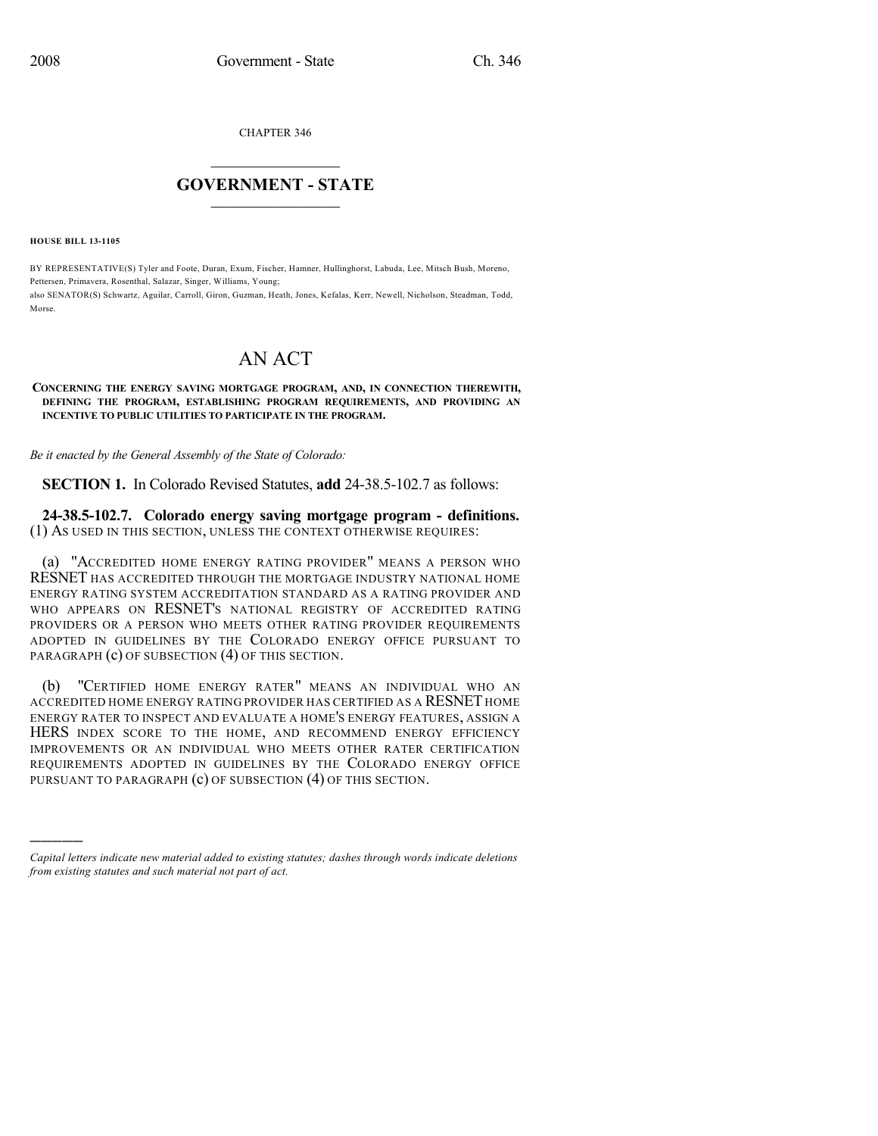CHAPTER 346

## $\mathcal{L}_\text{max}$  . The set of the set of the set of the set of the set of the set of the set of the set of the set of the set of the set of the set of the set of the set of the set of the set of the set of the set of the set **GOVERNMENT - STATE**  $\_$   $\_$   $\_$   $\_$   $\_$   $\_$   $\_$   $\_$   $\_$

**HOUSE BILL 13-1105**

)))))

BY REPRESENTATIVE(S) Tyler and Foote, Duran, Exum, Fischer, Hamner, Hullinghorst, Labuda, Lee, Mitsch Bush, Moreno, Pettersen, Primavera, Rosenthal, Salazar, Singer, Williams, Young; also SENATOR(S) Schwartz, Aguilar, Carroll, Giron, Guzman, Heath, Jones, Kefalas, Kerr, Newell, Nicholson, Steadman, Todd, Morse.

## AN ACT

## **CONCERNING THE ENERGY SAVING MORTGAGE PROGRAM, AND, IN CONNECTION THEREWITH, DEFINING THE PROGRAM, ESTABLISHING PROGRAM REQUIREMENTS, AND PROVIDING AN INCENTIVE TO PUBLIC UTILITIES TO PARTICIPATE IN THE PROGRAM.**

*Be it enacted by the General Assembly of the State of Colorado:*

**SECTION 1.** In Colorado Revised Statutes, **add** 24-38.5-102.7 as follows:

**24-38.5-102.7. Colorado energy saving mortgage program - definitions.** (1) AS USED IN THIS SECTION, UNLESS THE CONTEXT OTHERWISE REQUIRES:

(a) "ACCREDITED HOME ENERGY RATING PROVIDER" MEANS A PERSON WHO RESNET HAS ACCREDITED THROUGH THE MORTGAGE INDUSTRY NATIONAL HOME ENERGY RATING SYSTEM ACCREDITATION STANDARD AS A RATING PROVIDER AND WHO APPEARS ON RESNET'S NATIONAL REGISTRY OF ACCREDITED RATING PROVIDERS OR A PERSON WHO MEETS OTHER RATING PROVIDER REQUIREMENTS ADOPTED IN GUIDELINES BY THE COLORADO ENERGY OFFICE PURSUANT TO PARAGRAPH (c) OF SUBSECTION (4) OF THIS SECTION.

(b) "CERTIFIED HOME ENERGY RATER" MEANS AN INDIVIDUAL WHO AN ACCREDITED HOME ENERGY RATING PROVIDER HAS CERTIFIED AS A RESNET HOME ENERGY RATER TO INSPECT AND EVALUATE A HOME'S ENERGY FEATURES, ASSIGN A HERS INDEX SCORE TO THE HOME, AND RECOMMEND ENERGY EFFICIENCY IMPROVEMENTS OR AN INDIVIDUAL WHO MEETS OTHER RATER CERTIFICATION REQUIREMENTS ADOPTED IN GUIDELINES BY THE COLORADO ENERGY OFFICE PURSUANT TO PARAGRAPH (c) OF SUBSECTION (4) OF THIS SECTION.

*Capital letters indicate new material added to existing statutes; dashes through words indicate deletions from existing statutes and such material not part of act.*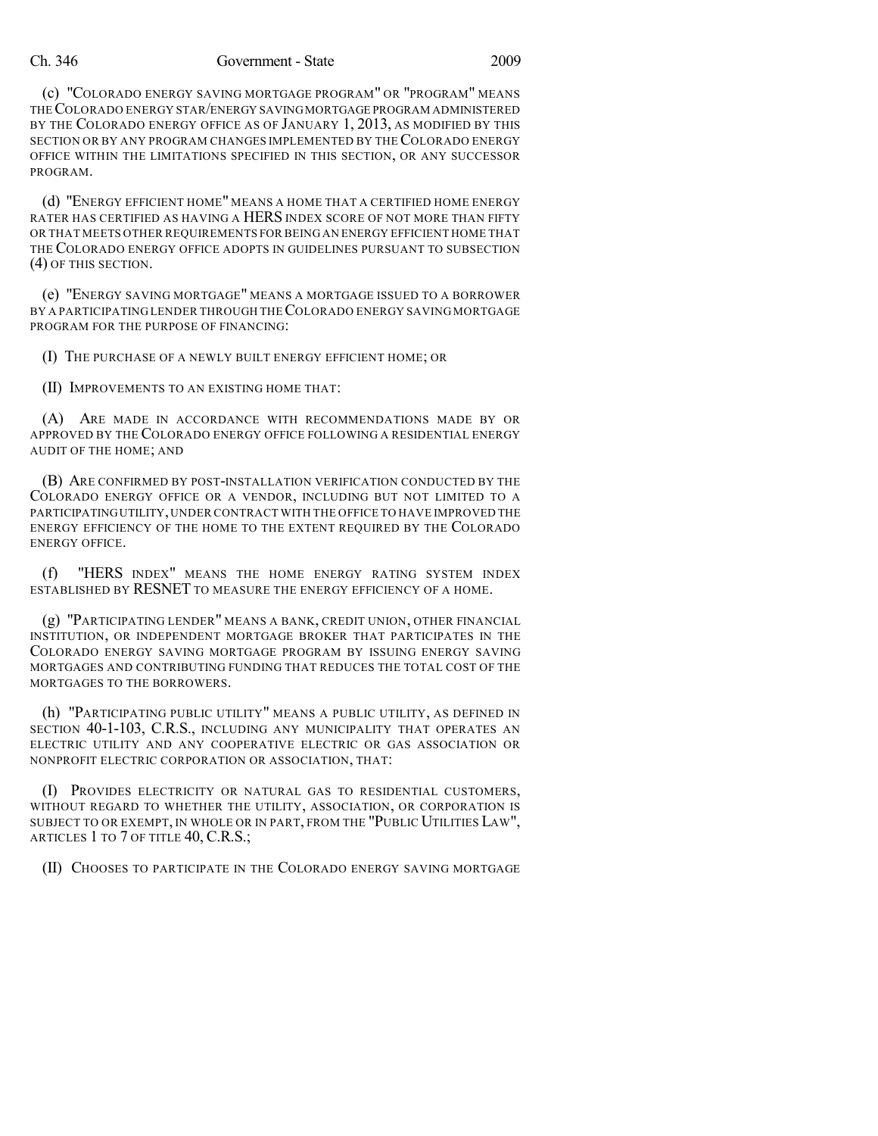## Ch. 346 Government - State 2009

(c) "COLORADO ENERGY SAVING MORTGAGE PROGRAM" OR "PROGRAM" MEANS THECOLORADO ENERGY STAR/ENERGY SAVINGMORTGAGE PROGRAM ADMINISTERED BY THE COLORADO ENERGY OFFICE AS OF JANUARY 1, 2013, AS MODIFIED BY THIS SECTION OR BY ANY PROGRAM CHANGES IMPLEMENTED BY THE COLORADO ENERGY OFFICE WITHIN THE LIMITATIONS SPECIFIED IN THIS SECTION, OR ANY SUCCESSOR PROGRAM.

(d) "ENERGY EFFICIENT HOME" MEANS A HOME THAT A CERTIFIED HOME ENERGY RATER HAS CERTIFIED AS HAVING A HERS INDEX SCORE OF NOT MORE THAN FIFTY OR THAT MEETS OTHER REQUIREMENTS FOR BEING AN ENERGY EFFICIENT HOME THAT THE COLORADO ENERGY OFFICE ADOPTS IN GUIDELINES PURSUANT TO SUBSECTION (4) OF THIS SECTION.

(e) "ENERGY SAVING MORTGAGE" MEANS A MORTGAGE ISSUED TO A BORROWER BY A PARTICIPATING LENDER THROUGH THECOLORADO ENERGY SAVING MORTGAGE PROGRAM FOR THE PURPOSE OF FINANCING:

(I) THE PURCHASE OF A NEWLY BUILT ENERGY EFFICIENT HOME; OR

(II) IMPROVEMENTS TO AN EXISTING HOME THAT:

(A) ARE MADE IN ACCORDANCE WITH RECOMMENDATIONS MADE BY OR APPROVED BY THE COLORADO ENERGY OFFICE FOLLOWING A RESIDENTIAL ENERGY AUDIT OF THE HOME; AND

(B) ARE CONFIRMED BY POST-INSTALLATION VERIFICATION CONDUCTED BY THE COLORADO ENERGY OFFICE OR A VENDOR, INCLUDING BUT NOT LIMITED TO A PARTICIPATINGUTILITY,UNDER CONTRACT WITH THE OFFICE TO HAVE IMPROVED THE ENERGY EFFICIENCY OF THE HOME TO THE EXTENT REQUIRED BY THE COLORADO ENERGY OFFICE.

(f) "HERS INDEX" MEANS THE HOME ENERGY RATING SYSTEM INDEX ESTABLISHED BY RESNET TO MEASURE THE ENERGY EFFICIENCY OF A HOME.

(g) "PARTICIPATING LENDER" MEANS A BANK, CREDIT UNION, OTHER FINANCIAL INSTITUTION, OR INDEPENDENT MORTGAGE BROKER THAT PARTICIPATES IN THE COLORADO ENERGY SAVING MORTGAGE PROGRAM BY ISSUING ENERGY SAVING MORTGAGES AND CONTRIBUTING FUNDING THAT REDUCES THE TOTAL COST OF THE MORTGAGES TO THE BORROWERS.

(h) "PARTICIPATING PUBLIC UTILITY" MEANS A PUBLIC UTILITY, AS DEFINED IN SECTION 40-1-103, C.R.S., INCLUDING ANY MUNICIPALITY THAT OPERATES AN ELECTRIC UTILITY AND ANY COOPERATIVE ELECTRIC OR GAS ASSOCIATION OR NONPROFIT ELECTRIC CORPORATION OR ASSOCIATION, THAT:

(I) PROVIDES ELECTRICITY OR NATURAL GAS TO RESIDENTIAL CUSTOMERS, WITHOUT REGARD TO WHETHER THE UTILITY, ASSOCIATION, OR CORPORATION IS SUBJECT TO OR EXEMPT, IN WHOLE OR IN PART, FROM THE "PUBLIC UTILITIES LAW", ARTICLES 1 TO 7 OF TITLE 40, C.R.S.;

(II) CHOOSES TO PARTICIPATE IN THE COLORADO ENERGY SAVING MORTGAGE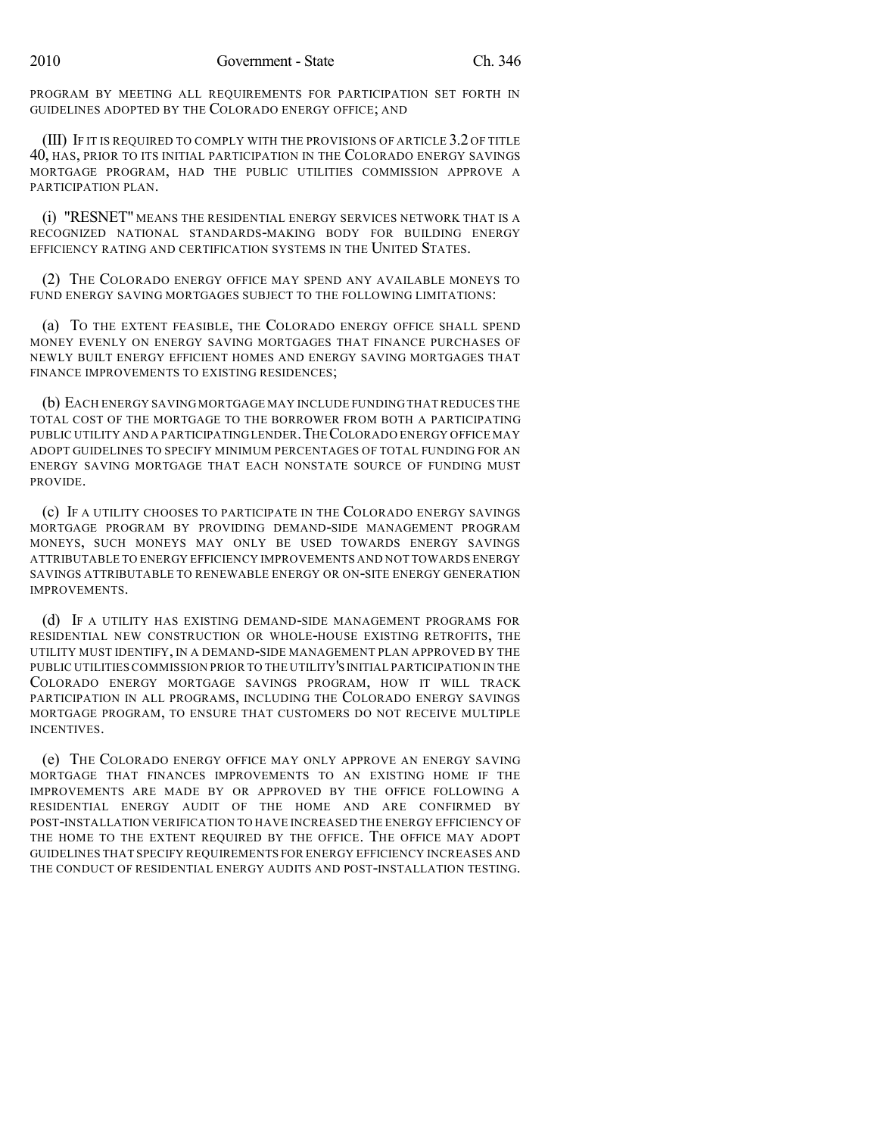PROGRAM BY MEETING ALL REQUIREMENTS FOR PARTICIPATION SET FORTH IN GUIDELINES ADOPTED BY THE COLORADO ENERGY OFFICE; AND

(III) IF IT IS REQUIRED TO COMPLY WITH THE PROVISIONS OF ARTICLE 3.2 OF TITLE 40, HAS, PRIOR TO ITS INITIAL PARTICIPATION IN THE COLORADO ENERGY SAVINGS MORTGAGE PROGRAM, HAD THE PUBLIC UTILITIES COMMISSION APPROVE A PARTICIPATION PLAN.

(i) "RESNET" MEANS THE RESIDENTIAL ENERGY SERVICES NETWORK THAT IS A RECOGNIZED NATIONAL STANDARDS-MAKING BODY FOR BUILDING ENERGY EFFICIENCY RATING AND CERTIFICATION SYSTEMS IN THE UNITED STATES.

(2) THE COLORADO ENERGY OFFICE MAY SPEND ANY AVAILABLE MONEYS TO FUND ENERGY SAVING MORTGAGES SUBJECT TO THE FOLLOWING LIMITATIONS:

(a) TO THE EXTENT FEASIBLE, THE COLORADO ENERGY OFFICE SHALL SPEND MONEY EVENLY ON ENERGY SAVING MORTGAGES THAT FINANCE PURCHASES OF NEWLY BUILT ENERGY EFFICIENT HOMES AND ENERGY SAVING MORTGAGES THAT FINANCE IMPROVEMENTS TO EXISTING RESIDENCES;

(b) EACH ENERGY SAVING MORTGAGE MAY INCLUDE FUNDING THAT REDUCES THE TOTAL COST OF THE MORTGAGE TO THE BORROWER FROM BOTH A PARTICIPATING PUBLIC UTILITY AND A PARTICIPATINGLENDER.THECOLORADO ENERGY OFFICE MAY ADOPT GUIDELINES TO SPECIFY MINIMUM PERCENTAGES OF TOTAL FUNDING FOR AN ENERGY SAVING MORTGAGE THAT EACH NONSTATE SOURCE OF FUNDING MUST PROVIDE.

(c) IF A UTILITY CHOOSES TO PARTICIPATE IN THE COLORADO ENERGY SAVINGS MORTGAGE PROGRAM BY PROVIDING DEMAND-SIDE MANAGEMENT PROGRAM MONEYS, SUCH MONEYS MAY ONLY BE USED TOWARDS ENERGY SAVINGS ATTRIBUTABLE TO ENERGY EFFICIENCY IMPROVEMENTS AND NOT TOWARDS ENERGY SAVINGS ATTRIBUTABLE TO RENEWABLE ENERGY OR ON-SITE ENERGY GENERATION IMPROVEMENTS.

(d) IF A UTILITY HAS EXISTING DEMAND-SIDE MANAGEMENT PROGRAMS FOR RESIDENTIAL NEW CONSTRUCTION OR WHOLE-HOUSE EXISTING RETROFITS, THE UTILITY MUST IDENTIFY, IN A DEMAND-SIDE MANAGEMENT PLAN APPROVED BY THE PUBLIC UTILITIES COMMISSION PRIOR TO THE UTILITY'S INITIAL PARTICIPATION IN THE COLORADO ENERGY MORTGAGE SAVINGS PROGRAM, HOW IT WILL TRACK PARTICIPATION IN ALL PROGRAMS, INCLUDING THE COLORADO ENERGY SAVINGS MORTGAGE PROGRAM, TO ENSURE THAT CUSTOMERS DO NOT RECEIVE MULTIPLE INCENTIVES.

(e) THE COLORADO ENERGY OFFICE MAY ONLY APPROVE AN ENERGY SAVING MORTGAGE THAT FINANCES IMPROVEMENTS TO AN EXISTING HOME IF THE IMPROVEMENTS ARE MADE BY OR APPROVED BY THE OFFICE FOLLOWING A RESIDENTIAL ENERGY AUDIT OF THE HOME AND ARE CONFIRMED BY POST-INSTALLATION VERIFICATION TO HAVE INCREASED THE ENERGY EFFICIENCY OF THE HOME TO THE EXTENT REQUIRED BY THE OFFICE. THE OFFICE MAY ADOPT GUIDELINES THAT SPECIFY REQUIREMENTS FOR ENERGY EFFICIENCY INCREASES AND THE CONDUCT OF RESIDENTIAL ENERGY AUDITS AND POST-INSTALLATION TESTING.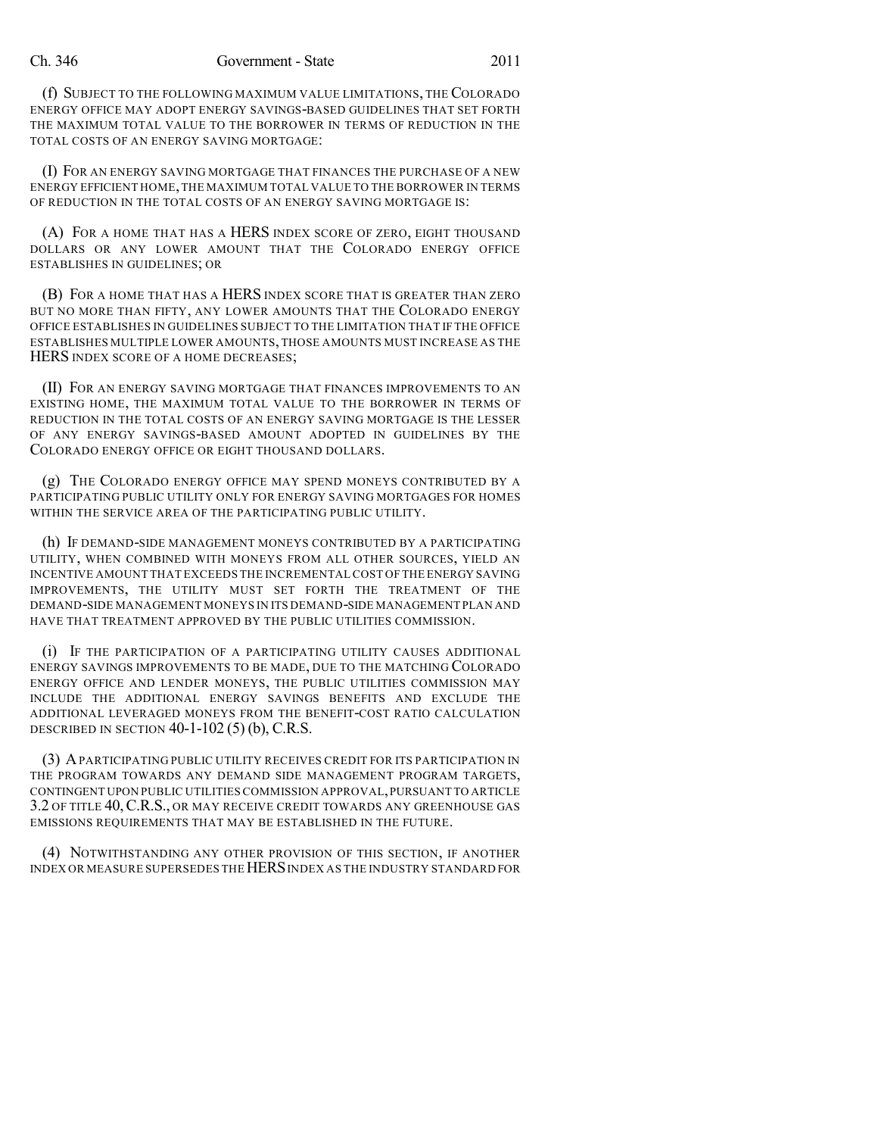(f) SUBJECT TO THE FOLLOWING MAXIMUM VALUE LIMITATIONS, THE COLORADO ENERGY OFFICE MAY ADOPT ENERGY SAVINGS-BASED GUIDELINES THAT SET FORTH THE MAXIMUM TOTAL VALUE TO THE BORROWER IN TERMS OF REDUCTION IN THE TOTAL COSTS OF AN ENERGY SAVING MORTGAGE:

(I) FOR AN ENERGY SAVING MORTGAGE THAT FINANCES THE PURCHASE OF A NEW ENERGY EFFICIENT HOME,THE MAXIMUM TOTAL VALUE TO THE BORROWER IN TERMS OF REDUCTION IN THE TOTAL COSTS OF AN ENERGY SAVING MORTGAGE IS:

(A) FOR A HOME THAT HAS A HERS INDEX SCORE OF ZERO, EIGHT THOUSAND DOLLARS OR ANY LOWER AMOUNT THAT THE COLORADO ENERGY OFFICE ESTABLISHES IN GUIDELINES; OR

(B) FOR A HOME THAT HAS A HERS INDEX SCORE THAT IS GREATER THAN ZERO BUT NO MORE THAN FIFTY, ANY LOWER AMOUNTS THAT THE COLORADO ENERGY OFFICE ESTABLISHES IN GUIDELINES SUBJECT TO THE LIMITATION THAT IF THE OFFICE ESTABLISHES MULTIPLE LOWER AMOUNTS, THOSE AMOUNTS MUST INCREASE AS THE HERS INDEX SCORE OF A HOME DECREASES;

(II) FOR AN ENERGY SAVING MORTGAGE THAT FINANCES IMPROVEMENTS TO AN EXISTING HOME, THE MAXIMUM TOTAL VALUE TO THE BORROWER IN TERMS OF REDUCTION IN THE TOTAL COSTS OF AN ENERGY SAVING MORTGAGE IS THE LESSER OF ANY ENERGY SAVINGS-BASED AMOUNT ADOPTED IN GUIDELINES BY THE COLORADO ENERGY OFFICE OR EIGHT THOUSAND DOLLARS.

(g) THE COLORADO ENERGY OFFICE MAY SPEND MONEYS CONTRIBUTED BY A PARTICIPATING PUBLIC UTILITY ONLY FOR ENERGY SAVING MORTGAGES FOR HOMES WITHIN THE SERVICE AREA OF THE PARTICIPATING PUBLIC UTILITY.

(h) IF DEMAND-SIDE MANAGEMENT MONEYS CONTRIBUTED BY A PARTICIPATING UTILITY, WHEN COMBINED WITH MONEYS FROM ALL OTHER SOURCES, YIELD AN INCENTIVE AMOUNT THAT EXCEEDS THE INCREMENTALCOST OF THE ENERGY SAVING IMPROVEMENTS, THE UTILITY MUST SET FORTH THE TREATMENT OF THE DEMAND-SIDE MANAGEMENT MONEYS IN ITS DEMAND-SIDE MANAGEMENT PLAN AND HAVE THAT TREATMENT APPROVED BY THE PUBLIC UTILITIES COMMISSION.

(i) IF THE PARTICIPATION OF A PARTICIPATING UTILITY CAUSES ADDITIONAL ENERGY SAVINGS IMPROVEMENTS TO BE MADE, DUE TO THE MATCHING COLORADO ENERGY OFFICE AND LENDER MONEYS, THE PUBLIC UTILITIES COMMISSION MAY INCLUDE THE ADDITIONAL ENERGY SAVINGS BENEFITS AND EXCLUDE THE ADDITIONAL LEVERAGED MONEYS FROM THE BENEFIT-COST RATIO CALCULATION DESCRIBED IN SECTION  $40-1-102(5)$  (b), C.R.S.

(3) APARTICIPATING PUBLIC UTILITY RECEIVES CREDIT FOR ITS PARTICIPATION IN THE PROGRAM TOWARDS ANY DEMAND SIDE MANAGEMENT PROGRAM TARGETS, CONTINGENT UPON PUBLIC UTILITIES COMMISSION APPROVAL,PURSUANT TO ARTICLE 3.2 OF TITLE 40,C.R.S., OR MAY RECEIVE CREDIT TOWARDS ANY GREENHOUSE GAS EMISSIONS REQUIREMENTS THAT MAY BE ESTABLISHED IN THE FUTURE.

(4) NOTWITHSTANDING ANY OTHER PROVISION OF THIS SECTION, IF ANOTHER INDEX OR MEASURE SUPERSEDES THE HERS INDEX AS THE INDUSTRY STANDARD FOR